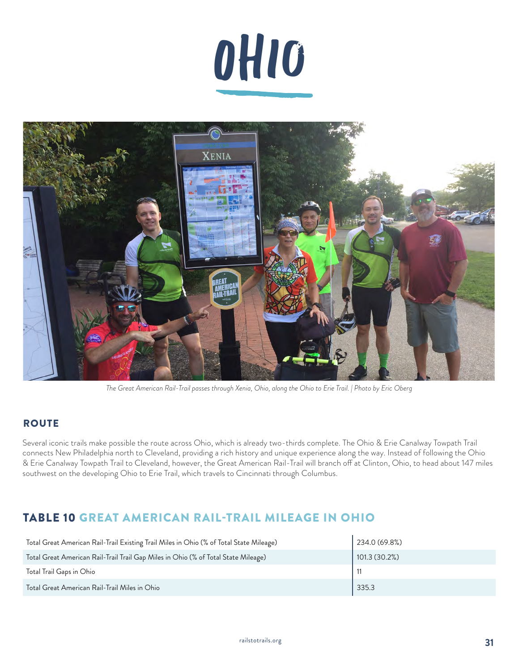



*The Great American Rail-Trail passes through Xenia, Ohio, along the Ohio to Erie Trail. | Photo by Eric Oberg*

#### **ROUTE**

Several iconic trails make possible the route across Ohio, which is already two-thirds complete. The Ohio & Erie Canalway Towpath Trail connects New Philadelphia north to Cleveland, providing a rich history and unique experience along the way. Instead of following the Ohio & Erie Canalway Towpath Trail to Cleveland, however, the Great American Rail-Trail will branch off at Clinton, Ohio, to head about 147 miles southwest on the developing Ohio to Erie Trail, which travels to Cincinnati through Columbus.

## TABLE 10 GREAT AMERICAN RAIL-TRAIL MILEAGE IN OHIO

| Total Great American Rail-Trail Existing Trail Miles in Ohio (% of Total State Mileage) | 234.0 (69.8%) |
|-----------------------------------------------------------------------------------------|---------------|
| Total Great American Rail-Trail Trail Gap Miles in Ohio (% of Total State Mileage)      | 101.3 (30.2%) |
| Total Trail Gaps in Ohio                                                                |               |
| Total Great American Rail-Trail Miles in Ohio                                           | 335.3         |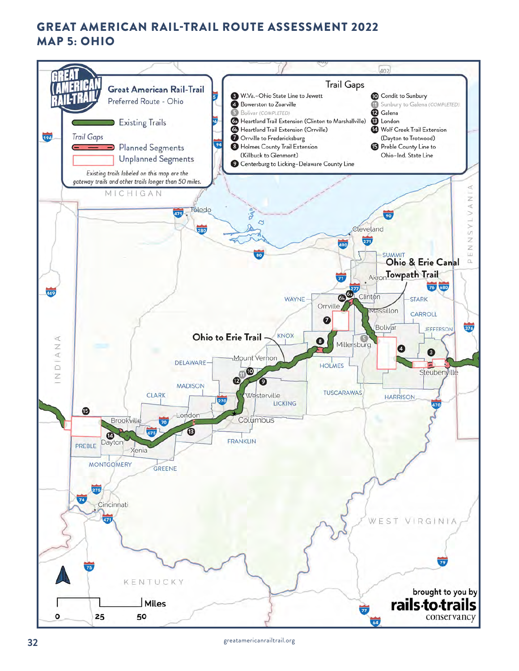# GREAT AMERICAN RAIL-TRAIL ROUTE ASSESSMENT 2022 MAP 5: OHIO

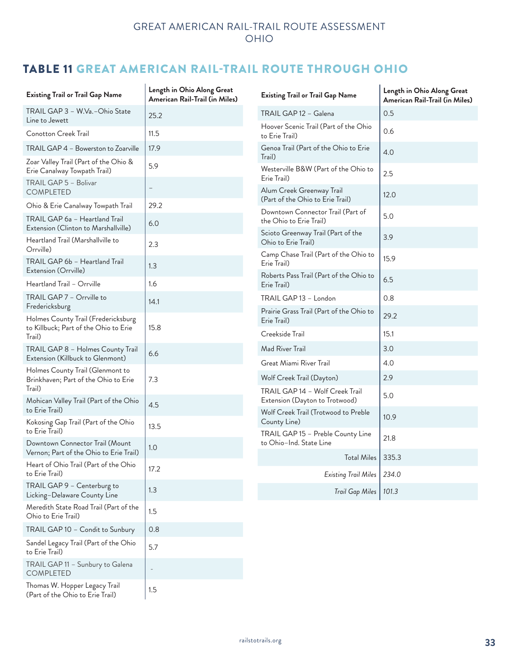# TABLE 11 GREAT AMERICAN RAIL-TRAIL ROUTE THROUGH OHIO

| <b>Existing Trail or Trail Gap Name</b>                                | Length in Ohio Along Great<br>American Rail-Trail (in Miles) | <b>Existing Trail or Trail Gap Name</b>                           | Length in Ohio Along Great<br>American Rail-Trail (in Miles) |
|------------------------------------------------------------------------|--------------------------------------------------------------|-------------------------------------------------------------------|--------------------------------------------------------------|
| TRAIL GAP 3 – W.Va.–Ohio State<br>Line to Jewett                       | 25.2                                                         | TRAIL GAP 12 - Galena                                             | 0.5                                                          |
| <b>Conotton Creek Trail</b>                                            | 11.5                                                         | Hoover Scenic Trail (Part of the Ohio<br>to Erie Trail)           | 0.6                                                          |
| TRAIL GAP 4 - Bowerston to Zoarville                                   | 17.9                                                         | Genoa Trail (Part of the Ohio to Erie                             | 4.0                                                          |
| Zoar Valley Trail (Part of the Ohio &<br>Erie Canalway Towpath Trail)  | 5.9                                                          | Trail)<br>Westerville B&W (Part of the Ohio to<br>Erie Trail)     | 2.5                                                          |
| TRAIL GAP 5 - Bolivar<br><b>COMPLETED</b>                              | $\qquad \qquad -$                                            | Alum Creek Greenway Trail<br>(Part of the Ohio to Erie Trail)     | 12.0                                                         |
| Ohio & Erie Canalway Towpath Trail                                     | 29.2                                                         | Downtown Connector Trail (Part of                                 |                                                              |
| TRAIL GAP 6a - Heartland Trail<br>Extension (Clinton to Marshallville) | 6.0                                                          | the Ohio to Erie Trail)<br>Scioto Greenway Trail (Part of the     | 5.0                                                          |
| Heartland Trail (Marshallville to<br>Orrville)                         | 2.3                                                          | Ohio to Erie Trail)                                               | 3.9                                                          |
| TRAIL GAP 6b - Heartland Trail<br>Extension (Orrville)                 | 1.3                                                          | Camp Chase Trail (Part of the Ohio to<br>Erie Trail)              | 15.9                                                         |
| Heartland Trail - Orrville                                             | 1.6                                                          | Roberts Pass Trail (Part of the Ohio to<br>Erie Trail)            | 6.5                                                          |
| TRAIL GAP 7 - Orrville to                                              | 14.1                                                         | TRAIL GAP 13 - London                                             | 0.8                                                          |
| Fredericksburg<br>Holmes County Trail (Fredericksburg                  |                                                              | Prairie Grass Trail (Part of the Ohio to<br>Erie Trail)           | 29.2                                                         |
| to Killbuck; Part of the Ohio to Erie<br>Trail)                        | 15.8                                                         | Creekside Trail                                                   | 15.1                                                         |
| TRAIL GAP 8 - Holmes County Trail                                      | 6.6                                                          | Mad River Trail                                                   | 3.0                                                          |
| Extension (Killbuck to Glenmont)<br>Holmes County Trail (Glenmont to   |                                                              | Great Miami River Trail                                           | 4.0                                                          |
| Brinkhaven; Part of the Ohio to Erie                                   | 7.3                                                          | Wolf Creek Trail (Dayton)                                         | 2.9                                                          |
| Trail)<br>Mohican Valley Trail (Part of the Ohio<br>to Erie Trail)     | 4.5                                                          | TRAIL GAP 14 - Wolf Creek Trail<br>Extension (Dayton to Trotwood) | 5.0                                                          |
| Kokosing Gap Trail (Part of the Ohio                                   | 13.5                                                         | Wolf Creek Trail (Trotwood to Preble<br>County Line)              | 10.9                                                         |
| to Erie Trail)<br>Downtown Connector Trail (Mount                      |                                                              | TRAIL GAP 15 - Preble County Line<br>to Ohio-Ind. State Line      | 21.8                                                         |
| Vernon; Part of the Ohio to Erie Trail)                                | 1.0                                                          | Total Miles   335.3                                               |                                                              |
| Heart of Ohio Trail (Part of the Ohio<br>to Erie Trail)                | 17.2                                                         | <b>Existing Trail Miles</b>                                       | 234.0                                                        |
| TRAIL GAP 9 - Centerburg to<br>Licking-Delaware County Line            | 1.3                                                          | Trail Gap Miles   101.3                                           |                                                              |
| Meredith State Road Trail (Part of the<br>Ohio to Erie Trail)          | 1.5                                                          |                                                                   |                                                              |
| TRAIL GAP 10 - Condit to Sunbury                                       | 0.8                                                          |                                                                   |                                                              |
| Sandel Legacy Trail (Part of the Ohio<br>to Erie Trail)                | 5.7                                                          |                                                                   |                                                              |
| TRAIL GAP 11 - Sunbury to Galena<br><b>COMPLETED</b>                   | $\overline{\phantom{m}}$                                     |                                                                   |                                                              |
| Thomas W. Hopper Legacy Trail<br>(Part of the Ohio to Erie Trail)      | 1.5                                                          |                                                                   |                                                              |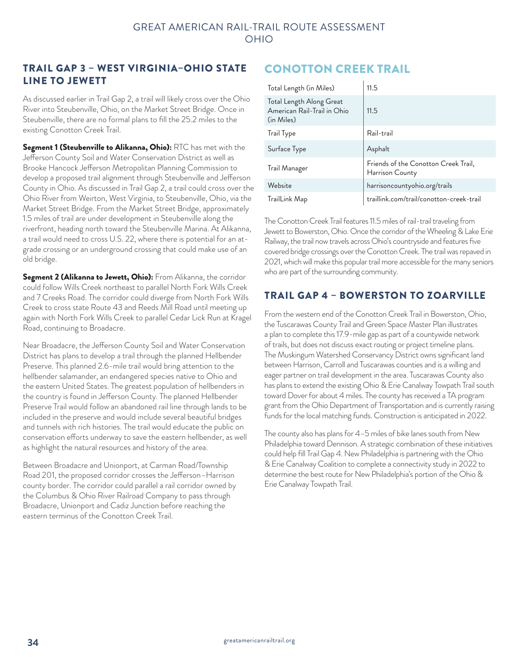#### TRAIL GAP 3 – WEST VIRGINIA–OHIO STATE LINE TO JEWETT

As discussed earlier in Trail Gap 2, a trail will likely cross over the Ohio River into Steubenville, Ohio, on the Market Street Bridge. Once in Steubenville, there are no formal plans to fill the 25.2 miles to the existing Conotton Creek Trail.

Segment 1 (Steubenville to Alikanna, Ohio): RTC has met with the Jefferson County Soil and Water Conservation District as well as Brooke Hancock Jefferson Metropolitan Planning Commission to develop a proposed trail alignment through Steubenville and Jefferson County in Ohio. As discussed in Trail Gap 2, a trail could cross over the Ohio River from Weirton, West Virginia, to Steubenville, Ohio, via the Market Street Bridge. From the Market Street Bridge, approximately 1.5 miles of trail are under development in Steubenville along the riverfront, heading north toward the Steubenville Marina. At Alikanna, a trail would need to cross U.S. 22, where there is potential for an atgrade crossing or an underground crossing that could make use of an old bridge.

Segment 2 (Alikanna to Jewett, Ohio): From Alikanna, the corridor could follow Wills Creek northeast to parallel North Fork Wills Creek and 7 Creeks Road. The corridor could diverge from North Fork Wills Creek to cross state Route 43 and Reeds Mill Road until meeting up again with North Fork Wills Creek to parallel Cedar Lick Run at Kragel Road, continuing to Broadacre.

Near Broadacre, the Jefferson County Soil and Water Conservation District has plans to develop a trail through the planned Hellbender Preserve. This planned 2.6-mile trail would bring attention to the hellbender salamander, an endangered species native to Ohio and the eastern United States. The greatest population of hellbenders in the country is found in Jefferson County. The planned Hellbender Preserve Trail would follow an abandoned rail line through lands to be included in the preserve and would include several beautiful bridges and tunnels with rich histories. The trail would educate the public on conservation efforts underway to save the eastern hellbender, as well as highlight the natural resources and history of the area.

Between Broadacre and Unionport, at Carman Road/Township Road 201, the proposed corridor crosses the Jefferson–Harrison county border. The corridor could parallel a rail corridor owned by the Columbus & Ohio River Railroad Company to pass through Broadacre, Unionport and Cadiz Junction before reaching the eastern terminus of the Conotton Creek Trail.

# CONOTTON CREEK TRAIL

| Total Length (in Miles)                                               | 11.5                                                    |
|-----------------------------------------------------------------------|---------------------------------------------------------|
| Total Length Along Great<br>American Rail-Trail in Ohio<br>(in Miles) | 11.5                                                    |
| Trail Type                                                            | Rail-trail                                              |
| Surface Type                                                          | Asphalt                                                 |
| Trail Manager                                                         | Friends of the Conotton Creek Trail,<br>Harrison County |
| Website                                                               | harrisoncountyohio.org/trails                           |
| TrailLink Map                                                         | traillink.com/trail/conotton-creek-trail                |

The Conotton Creek Trail features 11.5 miles of rail-trail traveling from Jewett to Bowerston, Ohio. Once the corridor of the Wheeling & Lake Erie Railway, the trail now travels across Ohio's countryside and features five covered bridge crossings over the Conotton Creek. The trail was repaved in 2021, which will make this popular trail more accessible for the many seniors who are part of the surrounding community.

## TRAIL GAP 4 – BOWERSTON TO ZOARVILLE

From the western end of the Conotton Creek Trail in Bowerston, Ohio, the Tuscarawas County Trail and Green Space Master Plan illustrates a plan to complete this 17.9-mile gap as part of a countywide network of trails, but does not discuss exact routing or project timeline plans. The Muskingum Watershed Conservancy District owns significant land between Harrison, Carroll and Tuscarawas counties and is a willing and eager partner on trail development in the area. Tuscarawas County also has plans to extend the existing Ohio & Erie Canalway Towpath Trail south toward Dover for about 4 miles. The county has received a TA program grant from the Ohio Department of Transportation and is currently raising funds for the local matching funds. Construction is anticipated in 2022.

The county also has plans for 4–5 miles of bike lanes south from New Philadelphia toward Dennison. A strategic combination of these initiatives could help fill Trail Gap 4. New Philadelphia is partnering with the Ohio & Erie Canalway Coalition to complete a connectivity study in 2022 to determine the best route for New Philadelphia's portion of the Ohio & Erie Canalway Towpath Trail.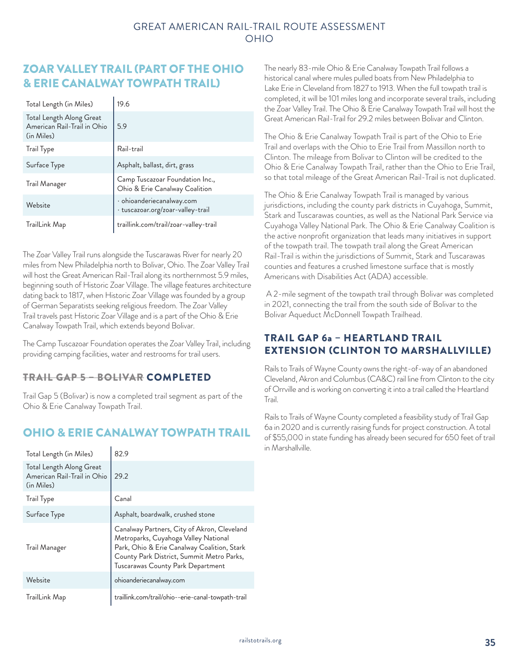### ZOAR VALLEY TRAIL (PART OF THE OHIO & ERIE CANALWAY TOWPATH TRAIL)

| Total Length (in Miles)                                               | 19.6                                                              |
|-----------------------------------------------------------------------|-------------------------------------------------------------------|
| Total Length Along Great<br>American Rail-Trail in Ohio<br>(in Miles) | 5.9                                                               |
| Trail Type                                                            | Rail-trail                                                        |
| Surface Type                                                          | Asphalt, ballast, dirt, grass                                     |
| Trail Manager                                                         | Camp Tuscazoar Foundation Inc.,<br>Ohio & Erie Canalway Coalition |
| Website                                                               | · ohioanderiecanalway.com<br>· tuscazoar.org/zoar-valley-trail    |
| TrailLink Map                                                         | traillink.com/trail/zoar-valley-trail                             |

The Zoar Valley Trail runs alongside the Tuscarawas River for nearly 20 miles from New Philadelphia north to Bolivar, Ohio. The Zoar Valley Trail will host the Great American Rail-Trail along its northernmost 5.9 miles, beginning south of Historic Zoar Village. The village features architecture dating back to 1817, when Historic Zoar Village was founded by a group of German Separatists seeking religious freedom. The Zoar Valley Trail travels past Historic Zoar Village and is a part of the Ohio & Erie Canalway Towpath Trail, which extends beyond Bolivar.

The Camp Tuscazoar Foundation operates the Zoar Valley Trail, including providing camping facilities, water and restrooms for trail users.

#### TRAIL GAP 5 – BOLIVAR COMPLETED

Trail Gap 5 (Bolivar) is now a completed trail segment as part of the Ohio & Erie Canalway Towpath Trail.

## OHIO & ERIE CANALWAY TOWPATH TRAIL

| Total Length (in Miles)                                               | 82.9                                                                                                                                                                                                                 |
|-----------------------------------------------------------------------|----------------------------------------------------------------------------------------------------------------------------------------------------------------------------------------------------------------------|
| Total Length Along Great<br>American Rail-Trail in Ohio<br>(in Miles) | 29.2                                                                                                                                                                                                                 |
| Trail Type                                                            | Canal                                                                                                                                                                                                                |
| Surface Type                                                          | Asphalt, boardwalk, crushed stone                                                                                                                                                                                    |
| Trail Manager                                                         | Canalway Partners, City of Akron, Cleveland<br>Metroparks, Cuyahoga Valley National<br>Park, Ohio & Erie Canalway Coalition, Stark<br>County Park District, Summit Metro Parks,<br>Tuscarawas County Park Department |
| Website                                                               | ohioanderiecanalway.com                                                                                                                                                                                              |
| TrailLink Map                                                         | traillink.com/trail/ohio--erie-canal-towpath-trail                                                                                                                                                                   |

The nearly 83-mile Ohio & Erie Canalway Towpath Trail follows a historical canal where mules pulled boats from New Philadelphia to Lake Erie in Cleveland from 1827 to 1913. When the full towpath trail is completed, it will be 101 miles long and incorporate several trails, including the Zoar Valley Trail. The Ohio & Erie Canalway Towpath Trail will host the Great American Rail-Trail for 29.2 miles between Bolivar and Clinton.

The Ohio & Erie Canalway Towpath Trail is part of the Ohio to Erie Trail and overlaps with the Ohio to Erie Trail from Massillon north to Clinton. The mileage from Bolivar to Clinton will be credited to the Ohio & Erie Canalway Towpath Trail, rather than the Ohio to Erie Trail, so that total mileage of the Great American Rail-Trail is not duplicated.

The Ohio & Erie Canalway Towpath Trail is managed by various jurisdictions, including the county park districts in Cuyahoga, Summit, Stark and Tuscarawas counties, as well as the National Park Service via Cuyahoga Valley National Park. The Ohio & Erie Canalway Coalition is the active nonprofit organization that leads many initiatives in support of the towpath trail. The towpath trail along the Great American Rail-Trail is within the jurisdictions of Summit, Stark and Tuscarawas counties and features a crushed limestone surface that is mostly Americans with Disabilities Act (ADA) accessible.

 A 2-mile segment of the towpath trail through Bolivar was completed in 2021, connecting the trail from the south side of Bolivar to the Bolivar Aqueduct McDonnell Towpath Trailhead.

#### TRAIL GAP 6a – HEARTLAND TRAIL EXTENSION (CLINTON TO MARSHALLVILLE)

Rails to Trails of Wayne County owns the right-of-way of an abandoned Cleveland, Akron and Columbus (CA&C) rail line from Clinton to the city of Orrville and is working on converting it into a trail called the Heartland Trail.

Rails to Trails of Wayne County completed a feasibility study of Trail Gap 6a in 2020 and is currently raising funds for project construction. A total of \$55,000 in state funding has already been secured for 650 feet of trail in Marshallville.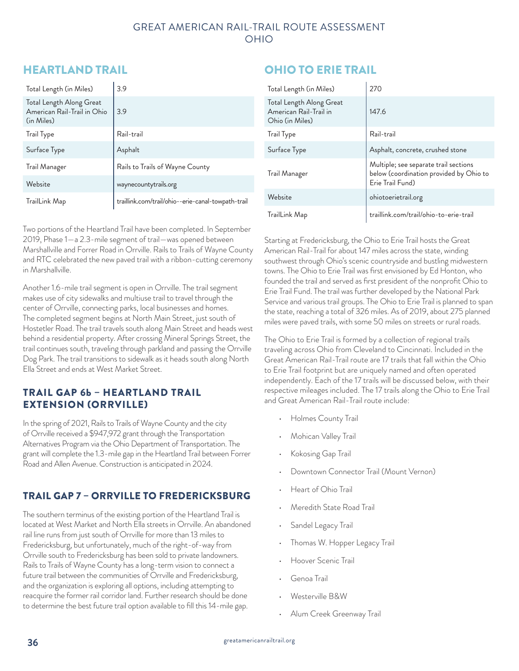#### GREAT AMERICAN RAIL-TRAIL ROUTE ASSESSMENT OHIO

## HEARTLAND TRAIL

| Total Length (in Miles)                                               | 3.9                                                |
|-----------------------------------------------------------------------|----------------------------------------------------|
| Total Length Along Great<br>American Rail-Trail in Ohio<br>(in Miles) | 3.9                                                |
| Trail Type                                                            | Rail-trail                                         |
| Surface Type                                                          | Asphalt                                            |
| Trail Manager                                                         | Rails to Trails of Wayne County                    |
| Website                                                               | waynecountytrails.org                              |
| TrailLink Map                                                         | traillink.com/trail/ohio--erie-canal-towpath-trail |

Two portions of the Heartland Trail have been completed. In September 2019, Phase 1—a 2.3-mile segment of trail—was opened between Marshallville and Forrer Road in Orrville. Rails to Trails of Wayne County and RTC celebrated the new paved trail with a ribbon-cutting ceremony in Marshallville.

Another 1.6-mile trail segment is open in Orrville. The trail segment makes use of city sidewalks and multiuse trail to travel through the center of Orrville, connecting parks, local businesses and homes. The completed segment begins at North Main Street, just south of Hostetler Road. The trail travels south along Main Street and heads west behind a residential property. After crossing Mineral Springs Street, the trail continues south, traveling through parkland and passing the Orrville Dog Park. The trail transitions to sidewalk as it heads south along North Ella Street and ends at West Market Street.

#### TRAIL GAP 6b – HEARTLAND TRAIL EXTENSION (ORRVILLE)

In the spring of 2021, Rails to Trails of Wayne County and the city of Orrville received a \$947,972 grant through the Transportation Alternatives Program via the Ohio Department of Transportation. The grant will complete the 1.3-mile gap in the Heartland Trail between Forrer Road and Allen Avenue. Construction is anticipated in 2024.

## TRAIL GAP 7 – ORRVILLE TO FREDERICKSBURG

The southern terminus of the existing portion of the Heartland Trail is located at West Market and North Ella streets in Orrville. An abandoned rail line runs from just south of Orrville for more than 13 miles to Fredericksburg, but unfortunately, much of the right-of-way from Orrville south to Fredericksburg has been sold to private landowners. Rails to Trails of Wayne County has a long-term vision to connect a future trail between the communities of Orrville and Fredericksburg, and the organization is exploring all options, including attempting to reacquire the former rail corridor land. Further research should be done to determine the best future trail option available to fill this 14-mile gap.

# OHIO TO ERIE TRAIL

| Total Length (in Miles)                                               | 270                                                                                                  |
|-----------------------------------------------------------------------|------------------------------------------------------------------------------------------------------|
| Total Length Along Great<br>American Rail-Trail in<br>Ohio (in Miles) | 147.6                                                                                                |
| <b>Trail Type</b>                                                     | Rail-trail                                                                                           |
| Surface Type                                                          | Asphalt, concrete, crushed stone                                                                     |
| Trail Manager                                                         | Multiple; see separate trail sections<br>below (coordination provided by Ohio to<br>Erie Trail Fund) |
| Website                                                               | ohiotoerietrail.org                                                                                  |
| TrailLink Map                                                         | traillink.com/trail/ohio-to-erie-trail                                                               |

Starting at Fredericksburg, the Ohio to Erie Trail hosts the Great American Rail-Trail for about 147 miles across the state, winding southwest through Ohio's scenic countryside and bustling midwestern towns. The Ohio to Erie Trail was first envisioned by Ed Honton, who founded the trail and served as first president of the nonprofit Ohio to Erie Trail Fund. The trail was further developed by the National Park Service and various trail groups. The Ohio to Erie Trail is planned to span the state, reaching a total of 326 miles. As of 2019, about 275 planned miles were paved trails, with some 50 miles on streets or rural roads.

The Ohio to Erie Trail is formed by a collection of regional trails traveling across Ohio from Cleveland to Cincinnati. Included in the Great American Rail-Trail route are 17 trails that fall within the Ohio to Erie Trail footprint but are uniquely named and often operated independently. Each of the 17 trails will be discussed below, with their respective mileages included. The 17 trails along the Ohio to Erie Trail and Great American Rail-Trail route include:

- Holmes County Trail
- Mohican Valley Trail
- Kokosing Gap Trail
- Downtown Connector Trail (Mount Vernon)
- Heart of Ohio Trail
- Meredith State Road Trail
- Sandel Legacy Trail
- Thomas W. Hopper Legacy Trail
- Hoover Scenic Trail
- Genoa Trail
- Westerville B&W
- Alum Creek Greenway Trail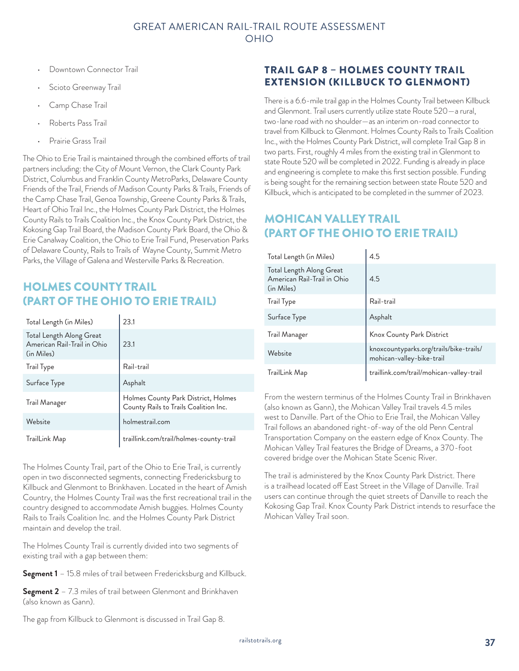- Downtown Connector Trail
- Scioto Greenway Trail
- Camp Chase Trail
- Roberts Pass Trail
- Prairie Grass Trail

The Ohio to Erie Trail is maintained through the combined efforts of trail partners including: the City of Mount Vernon, the Clark County Park District, Columbus and Franklin County MetroParks, Delaware County Friends of the Trail, Friends of Madison County Parks & Trails, Friends of the Camp Chase Trail, Genoa Township, Greene County Parks & Trails, Heart of Ohio Trail Inc., the Holmes County Park District, the Holmes County Rails to Trails Coalition Inc., the Knox County Park District, the Kokosing Gap Trail Board, the Madison County Park Board, the Ohio & Erie Canalway Coalition, the Ohio to Erie Trail Fund, Preservation Parks of Delaware County, Rails to Trails of Wayne County, Summit Metro Parks, the Village of Galena and Westerville Parks & Recreation.

## HOLMES COUNTY TRAIL (PART OF THE OHIO TO ERIE TRAIL)

| Total Length (in Miles)                                               | 23.1                                                                         |
|-----------------------------------------------------------------------|------------------------------------------------------------------------------|
| Total Length Along Great<br>American Rail-Trail in Ohio<br>(in Miles) | 23.1                                                                         |
| Trail Type                                                            | Rail-trail                                                                   |
| Surface Type                                                          | Asphalt                                                                      |
| Trail Manager                                                         | Holmes County Park District, Holmes<br>County Rails to Trails Coalition Inc. |
| Website                                                               | holmestrail.com                                                              |
| TrailLink Map                                                         | traillink.com/trail/holmes-county-trail                                      |

The Holmes County Trail, part of the Ohio to Erie Trail, is currently open in two disconnected segments, connecting Fredericksburg to Killbuck and Glenmont to Brinkhaven. Located in the heart of Amish Country, the Holmes County Trail was the first recreational trail in the country designed to accommodate Amish buggies. Holmes County Rails to Trails Coalition Inc. and the Holmes County Park District maintain and develop the trail.

The Holmes County Trail is currently divided into two segments of existing trail with a gap between them:

**Segment 1** – 15.8 miles of trail between Fredericksburg and Killbuck.

**Segment 2** – 7.3 miles of trail between Glenmont and Brinkhaven (also known as Gann).

#### TRAIL GAP 8 – HOLMES COUNTY TRAIL EXTENSION (KILLBUCK TO GLENMONT)

There is a 6.6-mile trail gap in the Holmes County Trail between Killbuck and Glenmont. Trail users currently utilize state Route 520—a rural, two-lane road with no shoulder—as an interim on-road connector to travel from Killbuck to Glenmont. Holmes County Rails to Trails Coalition Inc., with the Holmes County Park District, will complete Trail Gap 8 in two parts. First, roughly 4 miles from the existing trail in Glenmont to state Route 520 will be completed in 2022. Funding is already in place and engineering is complete to make this first section possible. Funding is being sought for the remaining section between state Route 520 and Killbuck, which is anticipated to be completed in the summer of 2023.

# MOHICAN VALLEY TRAIL (PART OF THE OHIO TO ERIE TRAIL)

| Total Length (in Miles)                                               | 4.5                                                                  |
|-----------------------------------------------------------------------|----------------------------------------------------------------------|
| Total Length Along Great<br>American Rail-Trail in Ohio<br>(in Miles) | 4.5                                                                  |
| <b>Trail Type</b>                                                     | Rail-trail                                                           |
| Surface Type                                                          | Asphalt                                                              |
| Trail Manager                                                         | Knox County Park District                                            |
| Website                                                               | knoxcountyparks.org/trails/bike-trails/<br>mohican-valley-bike-trail |
| TrailLink Map                                                         | traillink.com/trail/mohican-valley-trail                             |

From the western terminus of the Holmes County Trail in Brinkhaven (also known as Gann), the Mohican Valley Trail travels 4.5 miles west to Danville. Part of the Ohio to Erie Trail, the Mohican Valley Trail follows an abandoned right-of-way of the old Penn Central Transportation Company on the eastern edge of Knox County. The Mohican Valley Trail features the Bridge of Dreams, a 370-foot covered bridge over the Mohican State Scenic River.

The trail is administered by the Knox County Park District. There is a trailhead located off East Street in the Village of Danville. Trail users can continue through the quiet streets of Danville to reach the Kokosing Gap Trail. Knox County Park District intends to resurface the Mohican Valley Trail soon.

The gap from Killbuck to Glenmont is discussed in Trail Gap 8.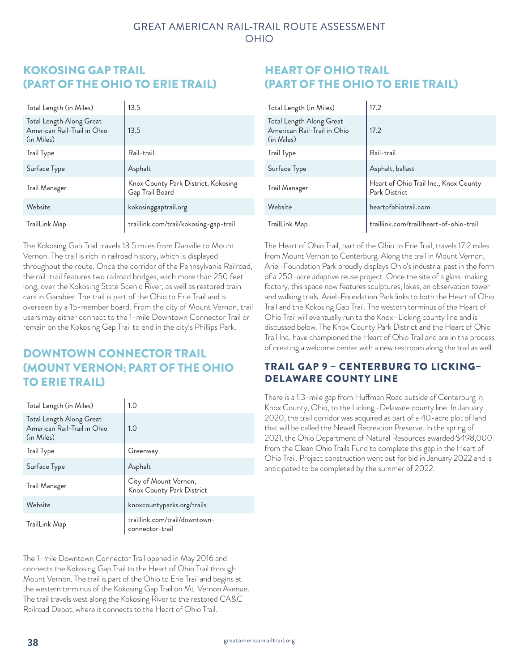## KOKOSING GAP TRAIL (PART OF THE OHIO TO ERIE TRAIL)

| Total Length (in Miles)                                               | 13.5                                                   |
|-----------------------------------------------------------------------|--------------------------------------------------------|
| Total Length Along Great<br>American Rail-Trail in Ohio<br>(in Miles) | 13.5                                                   |
| Trail Type                                                            | Rail-trail                                             |
| Surface Type                                                          | Asphalt                                                |
| Trail Manager                                                         | Knox County Park District, Kokosing<br>Gap Trail Board |
| Website                                                               | kokosinggaptrail.org                                   |
| TrailLink Map                                                         | traillink.com/trail/kokosing-gap-trail                 |

The Kokosing Gap Trail travels 13.5 miles from Danville to Mount Vernon. The trail is rich in railroad history, which is displayed throughout the route. Once the corridor of the Pennsylvania Railroad, the rail-trail features two railroad bridges, each more than 250 feet long, over the Kokosing State Scenic River, as well as restored train cars in Gambier. The trail is part of the Ohio to Erie Trail and is overseen by a 15-member board. From the city of Mount Vernon, trail users may either connect to the 1-mile Downtown Connector Trail or remain on the Kokosing Gap Trail to end in the city's Phillips Park.

# DOWNTOWN CONNECTOR TRAIL (MOUNT VERNON; PART OF THE OHIO TO ERIE TRAIL)

| Total Length (in Miles)                                               | 1.0                                                |
|-----------------------------------------------------------------------|----------------------------------------------------|
| Total Length Along Great<br>American Rail-Trail in Ohio<br>(in Miles) | 1.0                                                |
| Trail Type                                                            | Greenway                                           |
| Surface Type                                                          | Asphalt                                            |
| Trail Manager                                                         | City of Mount Vernon,<br>Knox County Park District |
| Website                                                               | knoxcountyparks.org/trails                         |
| TrailLink Map                                                         | traillink.com/trail/downtown-<br>connector-trail   |

The 1-mile Downtown Connector Trail opened in May 2016 and connects the Kokosing Gap Trail to the Heart of Ohio Trail through Mount Vernon. The trail is part of the Ohio to Erie Trail and begins at the western terminus of the Kokosing Gap Trail on Mt. Vernon Avenue. The trail travels west along the Kokosing River to the restored CA&C Railroad Depot, where it connects to the Heart of Ohio Trail.

## HEART OF OHIO TRAIL (PART OF THE OHIO TO ERIE TRAIL)

| Total Length (in Miles)                                               | 17.2                                                   |
|-----------------------------------------------------------------------|--------------------------------------------------------|
| Total Length Along Great<br>American Rail-Trail in Ohio<br>(in Miles) | 17.2                                                   |
| Trail Type                                                            | Rail-trail                                             |
| Surface Type                                                          | Asphalt, ballast                                       |
| Trail Manager                                                         | Heart of Ohio Trail Inc., Knox County<br>Park District |
| Website                                                               | heartofohiotrail.com                                   |
| TrailLink Map                                                         | traillink.com/trail/heart-of-ohio-trail                |

The Heart of Ohio Trail, part of the Ohio to Erie Trail, travels 17.2 miles from Mount Vernon to Centerburg. Along the trail in Mount Vernon, Ariel-Foundation Park proudly displays Ohio's industrial past in the form of a 250-acre adaptive reuse project. Once the site of a glass-making factory, this space now features sculptures, lakes, an observation tower and walking trails. Ariel-Foundation Park links to both the Heart of Ohio Trail and the Kokosing Gap Trail. The western terminus of the Heart of Ohio Trail will eventually run to the Knox–Licking county line and is discussed below. The Knox County Park District and the Heart of Ohio Trail Inc. have championed the Heart of Ohio Trail and are in the process of creating a welcome center with a new restroom along the trail as well.

#### TRAIL GAP 9 – CENTERBURG TO LICKING– DELAWARE COUNTY LINE

There is a 1.3-mile gap from Huffman Road outside of Centerburg in Knox County, Ohio, to the Licking–Delaware county line. In January 2020, the trail corridor was acquired as part of a 40-acre plot of land that will be called the Newell Recreation Preserve. In the spring of 2021, the Ohio Department of Natural Resources awarded \$498,000 from the Clean Ohio Trails Fund to complete this gap in the Heart of Ohio Trail. Project construction went out for bid in January 2022 and is anticipated to be completed by the summer of 2022.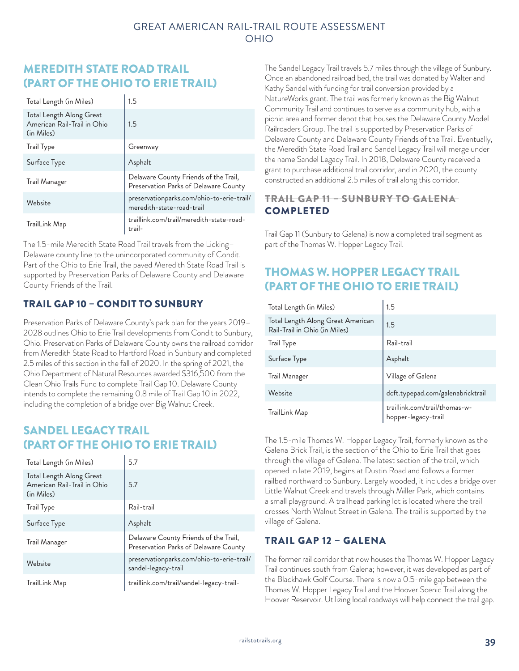## MEREDITH STATE ROAD TRAIL (PART OF THE OHIO TO ERIE TRAIL)

| Total Length (in Miles)                                               | 1.5                                                                            |
|-----------------------------------------------------------------------|--------------------------------------------------------------------------------|
| Total Length Along Great<br>American Rail-Trail in Ohio<br>(in Miles) | 1.5                                                                            |
| <b>Trail Type</b>                                                     | Greenway                                                                       |
| Surface Type                                                          | Asphalt                                                                        |
| Trail Manager                                                         | Delaware County Friends of the Trail,<br>Preservation Parks of Delaware County |
| Website                                                               | preservationparks.com/ohio-to-erie-trail/<br>meredith-state-road-trail         |
| TrailLink Map                                                         | traillink.com/trail/meredith-state-road-<br>trail-                             |

The 1.5-mile Meredith State Road Trail travels from the Licking– Delaware county line to the unincorporated community of Condit. Part of the Ohio to Erie Trail, the paved Meredith State Road Trail is supported by Preservation Parks of Delaware County and Delaware County Friends of the Trail.

#### TRAIL GAP 10 – CONDIT TO SUNBURY

Preservation Parks of Delaware County's park plan for the years 2019– 2028 outlines Ohio to Erie Trail developments from Condit to Sunbury, Ohio. Preservation Parks of Delaware County owns the railroad corridor from Meredith State Road to Hartford Road in Sunbury and completed 2.5 miles of this section in the fall of 2020. In the spring of 2021, the Ohio Department of Natural Resources awarded \$316,500 from the Clean Ohio Trails Fund to complete Trail Gap 10. Delaware County intends to complete the remaining 0.8 mile of Trail Gap 10 in 2022, including the completion of a bridge over Big Walnut Creek.

## SANDEL LEGACY TRAIL (PART OF THE OHIO TO ERIE TRAIL)

| Total Length (in Miles)                                               | 5.7                                                                            |
|-----------------------------------------------------------------------|--------------------------------------------------------------------------------|
| Total Length Along Great<br>American Rail-Trail in Ohio<br>(in Miles) | 5.7                                                                            |
| <b>Trail Type</b>                                                     | Rail-trail                                                                     |
| Surface Type                                                          | Asphalt                                                                        |
| Trail Manager                                                         | Delaware County Friends of the Trail,<br>Preservation Parks of Delaware County |
| Website                                                               | preservationparks.com/ohio-to-erie-trail/<br>sandel-legacy-trail               |
| TrailLink Map                                                         | traillink.com/trail/sandel-legacy-trail-                                       |

The Sandel Legacy Trail travels 5.7 miles through the village of Sunbury. Once an abandoned railroad bed, the trail was donated by Walter and Kathy Sandel with funding for trail conversion provided by a NatureWorks grant. The trail was formerly known as the Big Walnut Community Trail and continues to serve as a community hub, with a picnic area and former depot that houses the Delaware County Model Railroaders Group. The trail is supported by Preservation Parks of Delaware County and Delaware County Friends of the Trail. Eventually, the Meredith State Road Trail and Sandel Legacy Trail will merge under the name Sandel Legacy Trail. In 2018, Delaware County received a grant to purchase additional trail corridor, and in 2020, the county constructed an additional 2.5 miles of trail along this corridor.

#### TRAIL GAP 11 – SUNBURY TO GALENA COMPLETED

Trail Gap 11 (Sunbury to Galena) is now a completed trail segment as part of the Thomas W. Hopper Legacy Trail.

# THOMAS W. HOPPER LEGACY TRAIL (PART OF THE OHIO TO ERIE TRAIL)

| Total Length (in Miles)                                            | 1.5                                                  |
|--------------------------------------------------------------------|------------------------------------------------------|
| Total Length Along Great American<br>Rail-Trail in Ohio (in Miles) | 1.5                                                  |
| Trail Type                                                         | Rail-trail                                           |
| Surface Type                                                       | Asphalt                                              |
| Trail Manager                                                      | Village of Galena                                    |
| Website                                                            | dcft.typepad.com/galenabricktrail                    |
| TrailLink Map                                                      | traillink.com/trail/thomas-w-<br>hopper-legacy-trail |

The 1.5-mile Thomas W. Hopper Legacy Trail, formerly known as the Galena Brick Trail, is the section of the Ohio to Erie Trail that goes through the village of Galena. The latest section of the trail, which opened in late 2019, begins at Dustin Road and follows a former railbed northward to Sunbury. Largely wooded, it includes a bridge over Little Walnut Creek and travels through Miller Park, which contains a small playground. A trailhead parking lot is located where the trail crosses North Walnut Street in Galena. The trail is supported by the village of Galena.

#### TRAIL GAP 12 – GALENA

The former rail corridor that now houses the Thomas W. Hopper Legacy Trail continues south from Galena; however, it was developed as part of the Blackhawk Golf Course. There is now a 0.5-mile gap between the Thomas W. Hopper Legacy Trail and the Hoover Scenic Trail along the Hoover Reservoir. Utilizing local roadways will help connect the trail gap.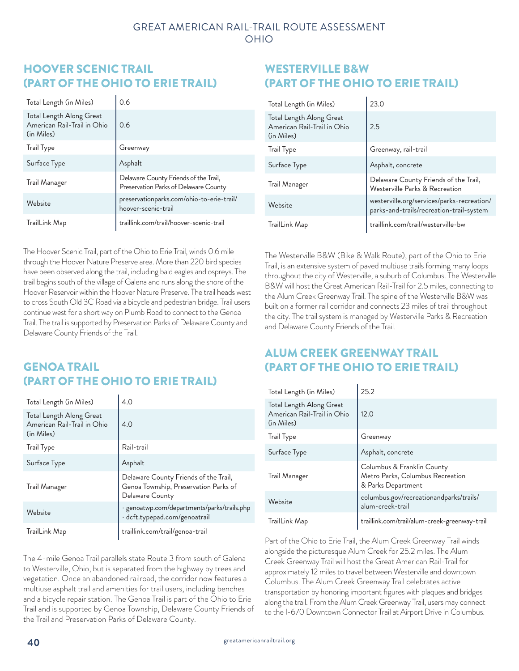## HOOVER SCENIC TRAIL (PART OF THE OHIO TO ERIE TRAIL)

| Total Length (in Miles)                                               | 0.6                                                                            |
|-----------------------------------------------------------------------|--------------------------------------------------------------------------------|
| Total Length Along Great<br>American Rail-Trail in Ohio<br>(in Miles) | 0.6                                                                            |
| Trail Type                                                            | Greenway                                                                       |
| Surface Type                                                          | Asphalt                                                                        |
| Trail Manager                                                         | Delaware County Friends of the Trail,<br>Preservation Parks of Delaware County |
| Website                                                               | preservationparks.com/ohio-to-erie-trail/<br>hoover-scenic-trail               |
| TrailLink Map                                                         | traillink.com/trail/hoover-scenic-trail                                        |

The Hoover Scenic Trail, part of the Ohio to Erie Trail, winds 0.6 mile through the Hoover Nature Preserve area. More than 220 bird species have been observed along the trail, including bald eagles and ospreys. The trail begins south of the village of Galena and runs along the shore of the Hoover Reservoir within the Hoover Nature Preserve. The trail heads west to cross South Old 3C Road via a bicycle and pedestrian bridge. Trail users continue west for a short way on Plumb Road to connect to the Genoa Trail. The trail is supported by Preservation Parks of Delaware County and Delaware County Friends of the Trail.

# GENOA TRAIL (PART OF THE OHIO TO ERIE TRAIL)

| Total Length (in Miles)                                               | 4.0                                                                                               |
|-----------------------------------------------------------------------|---------------------------------------------------------------------------------------------------|
| Total Length Along Great<br>American Rail-Trail in Ohio<br>(in Miles) | 4.0                                                                                               |
| Trail Type                                                            | Rail-trail                                                                                        |
| Surface Type                                                          | Asphalt                                                                                           |
| Trail Manager                                                         | Delaware County Friends of the Trail,<br>Genoa Township, Preservation Parks of<br>Delaware County |
| Website                                                               | · genoatwp.com/departments/parks/trails.php<br>· dcft.typepad.com/genoatrail                      |
| TrailLink Map                                                         | traillink.com/trail/genoa-trail                                                                   |

The 4-mile Genoa Trail parallels state Route 3 from south of Galena to Westerville, Ohio, but is separated from the highway by trees and vegetation. Once an abandoned railroad, the corridor now features a multiuse asphalt trail and amenities for trail users, including benches and a bicycle repair station. The Genoa Trail is part of the Ohio to Erie Trail and is supported by Genoa Township, Delaware County Friends of the Trail and Preservation Parks of Delaware County.

## WESTERVILLE B&W (PART OF THE OHIO TO ERIE TRAIL)

| Total Length (in Miles)                                               | 23.0                                                                                   |
|-----------------------------------------------------------------------|----------------------------------------------------------------------------------------|
| Total Length Along Great<br>American Rail-Trail in Ohio<br>(in Miles) | 2.5                                                                                    |
| <b>Trail Type</b>                                                     | Greenway, rail-trail                                                                   |
| Surface Type                                                          | Asphalt, concrete                                                                      |
| Trail Manager                                                         | Delaware County Friends of the Trail,<br>Westerville Parks & Recreation                |
| Website                                                               | westerville.org/services/parks-recreation/<br>parks-and-trails/recreation-trail-system |
| TrailLink Map                                                         | traillink.com/trail/westerville-bw                                                     |

The Westerville B&W (Bike & Walk Route), part of the Ohio to Erie Trail, is an extensive system of paved multiuse trails forming many loops throughout the city of Westerville, a suburb of Columbus. The Westerville B&W will host the Great American Rail-Trail for 2.5 miles, connecting to the Alum Creek Greenway Trail. The spine of the Westerville B&W was built on a former rail corridor and connects 23 miles of trail throughout the city. The trail system is managed by Westerville Parks & Recreation and Delaware County Friends of the Trail.

# ALUM CREEK GREENWAY TRAIL (PART OF THE OHIO TO ERIE TRAIL)

| Total Length (in Miles)                                               | 25.2                                                                                 |
|-----------------------------------------------------------------------|--------------------------------------------------------------------------------------|
| Total Length Along Great<br>American Rail-Trail in Ohio<br>(in Miles) | 12.0                                                                                 |
| Trail Type                                                            | Greenway                                                                             |
| Surface Type                                                          | Asphalt, concrete                                                                    |
| Trail Manager                                                         | Columbus & Franklin County<br>Metro Parks, Columbus Recreation<br>& Parks Department |
| Website                                                               | columbus.gov/recreationandparks/trails/<br>alum-creek-trail                          |
| TrailLink Map                                                         | traillink.com/trail/alum-creek-greenway-trail                                        |

Part of the Ohio to Erie Trail, the Alum Creek Greenway Trail winds alongside the picturesque Alum Creek for 25.2 miles. The Alum Creek Greenway Trail will host the Great American Rail-Trail for approximately 12 miles to travel between Westerville and downtown Columbus. The Alum Creek Greenway Trail celebrates active transportation by honoring important figures with plaques and bridges along the trail. From the Alum Creek Greenway Trail, users may connect to the I-670 Downtown Connector Trail at Airport Drive in Columbus.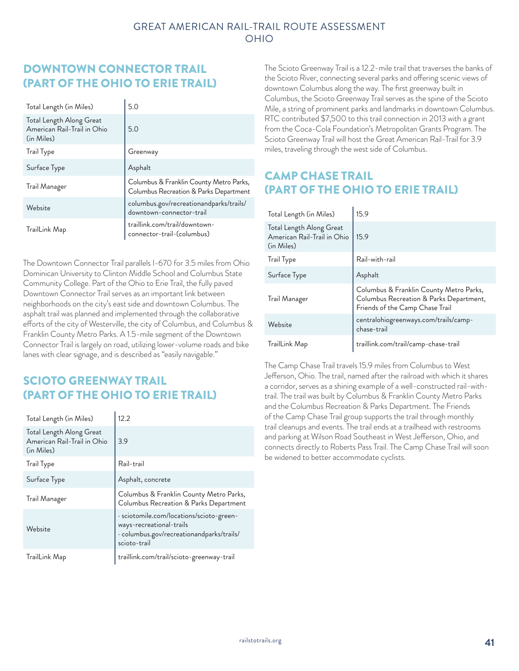## DOWNTOWN CONNECTOR TRAIL (PART OF THE OHIO TO ERIE TRAIL)

| Total Length (in Miles)                                               | 5.0                                                                               |
|-----------------------------------------------------------------------|-----------------------------------------------------------------------------------|
| Total Length Along Great<br>American Rail-Trail in Ohio<br>(in Miles) | 5.0                                                                               |
| <b>Trail Type</b>                                                     | Greenway                                                                          |
| Surface Type                                                          | Asphalt                                                                           |
| Trail Manager                                                         | Columbus & Franklin County Metro Parks,<br>Columbus Recreation & Parks Department |
| Website                                                               | columbus.gov/recreationandparks/trails/<br>downtown-connector-trail               |
| TrailLink Map                                                         | traillink.com/trail/downtown-<br>connector-trail-(columbus)                       |

The Downtown Connector Trail parallels I-670 for 3.5 miles from Ohio Dominican University to Clinton Middle School and Columbus State Community College. Part of the Ohio to Erie Trail, the fully paved Downtown Connector Trail serves as an important link between neighborhoods on the city's east side and downtown Columbus. The asphalt trail was planned and implemented through the collaborative efforts of the city of Westerville, the city of Columbus, and Columbus & Franklin County Metro Parks. A 1.5-mile segment of the Downtown Connector Trail is largely on road, utilizing lower-volume roads and bike lanes with clear signage, and is described as "easily navigable."

# SCIOTO GREENWAY TRAIL (PART OF THE OHIO TO ERIE TRAIL)

| Total Length (in Miles)                                               | 12.2                                                                                                                              |
|-----------------------------------------------------------------------|-----------------------------------------------------------------------------------------------------------------------------------|
| Total Length Along Great<br>American Rail-Trail in Ohio<br>(in Miles) | 3.9                                                                                                                               |
| Trail Type                                                            | Rail-trail                                                                                                                        |
| Surface Type                                                          | Asphalt, concrete                                                                                                                 |
| Trail Manager                                                         | Columbus & Franklin County Metro Parks,<br>Columbus Recreation & Parks Department                                                 |
| Website                                                               | · sciotomile.com/locations/scioto-green-<br>ways-recreational-trails<br>· columbus.gov/recreationandparks/trails/<br>scioto-trail |
| TrailLink Map                                                         | traillink.com/trail/scioto-greenway-trail                                                                                         |

The Scioto Greenway Trail is a 12.2-mile trail that traverses the banks of the Scioto River, connecting several parks and offering scenic views of downtown Columbus along the way. The first greenway built in Columbus, the Scioto Greenway Trail serves as the spine of the Scioto Mile, a string of prominent parks and landmarks in downtown Columbus. RTC contributed \$7,500 to this trail connection in 2013 with a grant from the Coca-Cola Foundation's Metropolitan Grants Program. The Scioto Greenway Trail will host the Great American Rail-Trail for 3.9 miles, traveling through the west side of Columbus.

# CAMP CHASE TRAIL (PART OF THE OHIO TO ERIE TRAIL)

| Total Length (in Miles)                                               | 15.9                                                                                                                  |
|-----------------------------------------------------------------------|-----------------------------------------------------------------------------------------------------------------------|
| Total Length Along Great<br>American Rail-Trail in Ohio<br>(in Miles) | 15.9                                                                                                                  |
| <b>Irail Type</b>                                                     | Rail-with-rail                                                                                                        |
| Surface Type                                                          | Asphalt                                                                                                               |
| Trail Manager                                                         | Columbus & Franklin County Metro Parks,<br>Columbus Recreation & Parks Department,<br>Friends of the Camp Chase Trail |
| Website                                                               | centralohiogreenways.com/trails/camp-<br>chase-trail                                                                  |
| TrailLink Map                                                         | traillink.com/trail/camp-chase-trail                                                                                  |

The Camp Chase Trail travels 15.9 miles from Columbus to West Jefferson, Ohio. The trail, named after the railroad with which it shares a corridor, serves as a shining example of a well-constructed rail-withtrail. The trail was built by Columbus & Franklin County Metro Parks and the Columbus Recreation & Parks Department. The Friends of the Camp Chase Trail group supports the trail through monthly trail cleanups and events. The trail ends at a trailhead with restrooms and parking at Wilson Road Southeast in West Jefferson, Ohio, and connects directly to Roberts Pass Trail. The Camp Chase Trail will soon be widened to better accommodate cyclists.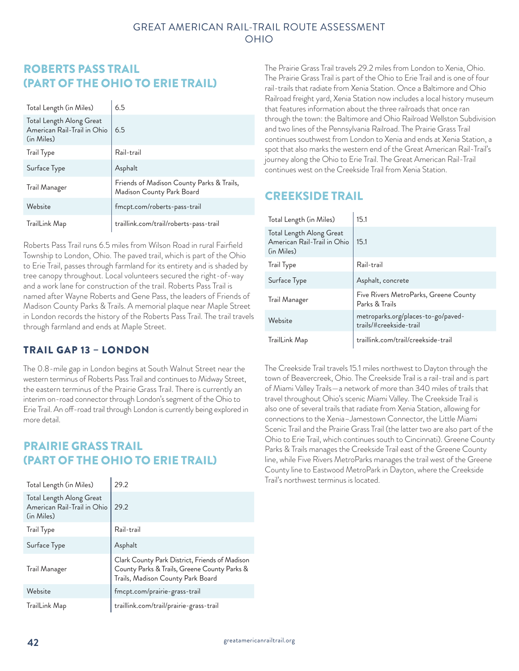## ROBERTS PASS TRAIL (PART OF THE OHIO TO ERIE TRAIL)

| Total Length (in Miles)                                               | 6.5                                                                    |
|-----------------------------------------------------------------------|------------------------------------------------------------------------|
| Total Length Along Great<br>American Rail-Trail in Ohio<br>(in Miles) | 6.5                                                                    |
| Trail Type                                                            | Rail-trail                                                             |
| Surface Type                                                          | Asphalt                                                                |
| Trail Manager                                                         | Friends of Madison County Parks & Trails,<br>Madison County Park Board |
| Website                                                               | fmcpt.com/roberts-pass-trail                                           |
| TrailLink Map                                                         | traillink.com/trail/roberts-pass-trail                                 |

Roberts Pass Trail runs 6.5 miles from Wilson Road in rural Fairfield Township to London, Ohio. The paved trail, which is part of the Ohio to Erie Trail, passes through farmland for its entirety and is shaded by tree canopy throughout. Local volunteers secured the right-of-way and a work lane for construction of the trail. Roberts Pass Trail is named after Wayne Roberts and Gene Pass, the leaders of Friends of Madison County Parks & Trails. A memorial plaque near Maple Street in London records the history of the Roberts Pass Trail. The trail travels through farmland and ends at Maple Street.

#### TRAIL GAP 13 – LONDON

The 0.8-mile gap in London begins at South Walnut Street near the western terminus of Roberts Pass Trail and continues to Midway Street, the eastern terminus of the Prairie Grass Trail. There is currently an interim on-road connector through London's segment of the Ohio to Erie Trail. An off-road trail through London is currently being explored in more detail.

## PRAIRIE GRASS TRAIL (PART OF THE OHIO TO ERIE TRAIL)

| Total Length (in Miles)                                               | 29.2                                                                                                                                |
|-----------------------------------------------------------------------|-------------------------------------------------------------------------------------------------------------------------------------|
| Total Length Along Great<br>American Rail-Trail in Ohio<br>(in Miles) | 29.2                                                                                                                                |
| <b>Trail Type</b>                                                     | Rail-trail                                                                                                                          |
| Surface Type                                                          | Asphalt                                                                                                                             |
| Trail Manager                                                         | Clark County Park District, Friends of Madison<br>County Parks & Trails, Greene County Parks &<br>Trails, Madison County Park Board |
| Website                                                               | fmcpt.com/prairie-grass-trail                                                                                                       |
| TrailLink Map                                                         | traillink.com/trail/prairie-grass-trail                                                                                             |

The Prairie Grass Trail travels 29.2 miles from London to Xenia, Ohio. The Prairie Grass Trail is part of the Ohio to Erie Trail and is one of four rail-trails that radiate from Xenia Station. Once a Baltimore and Ohio Railroad freight yard, Xenia Station now includes a local history museum that features information about the three railroads that once ran through the town: the Baltimore and Ohio Railroad Wellston Subdivision and two lines of the Pennsylvania Railroad. The Prairie Grass Trail continues southwest from London to Xenia and ends at Xenia Station, a spot that also marks the western end of the Great American Rail-Trail's journey along the Ohio to Erie Trail. The Great American Rail-Trail continues west on the Creekside Trail from Xenia Station.

#### CREEKSIDE TRAIL

| Total Length (in Miles)                                               | 15.1                                                          |
|-----------------------------------------------------------------------|---------------------------------------------------------------|
| Total Length Along Great<br>American Rail-Trail in Ohio<br>(in Miles) | 15.1                                                          |
| Trail Type                                                            | Rail-trail                                                    |
| Surface Type                                                          | Asphalt, concrete                                             |
| Trail Manager                                                         | Five Rivers MetroParks, Greene County<br>Parks & Trails       |
| Website                                                               | metroparks.org/places-to-go/paved-<br>trails/#creekside-trail |
| TrailLink Map                                                         | traillink.com/trail/creekside-trail                           |

The Creekside Trail travels 15.1 miles northwest to Dayton through the town of Beavercreek, Ohio. The Creekside Trail is a rail-trail and is part of Miami Valley Trails—a network of more than 340 miles of trails that travel throughout Ohio's scenic Miami Valley. The Creekside Trail is also one of several trails that radiate from Xenia Station, allowing for connections to the Xenia–Jamestown Connector, the Little Miami Scenic Trail and the Prairie Grass Trail (the latter two are also part of the Ohio to Erie Trail, which continues south to Cincinnati). Greene County Parks & Trails manages the Creekside Trail east of the Greene County line, while Five Rivers MetroParks manages the trail west of the Greene County line to Eastwood MetroPark in Dayton, where the Creekside Trail's northwest terminus is located.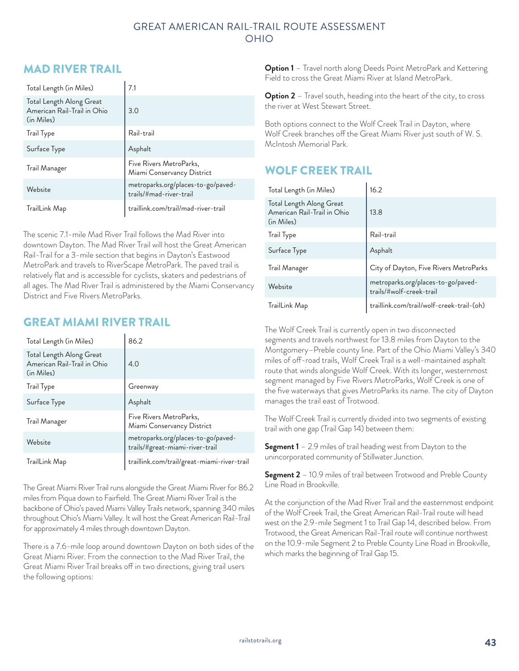#### GREAT AMERICAN RAIL-TRAIL ROUTE ASSESSMENT OHIO

## MAD RIVER TRAIL

| Total Length (in Miles)                                               | 7.1                                                           |
|-----------------------------------------------------------------------|---------------------------------------------------------------|
| Total Length Along Great<br>American Rail-Trail in Ohio<br>(in Miles) | 3.0                                                           |
| <b>Trail Type</b>                                                     | Rail-trail                                                    |
| Surface Type                                                          | Asphalt                                                       |
| Trail Manager                                                         | Five Rivers MetroParks,<br>Miami Conservancy District         |
| Website                                                               | metroparks.org/places-to-go/paved-<br>trails/#mad-river-trail |
| TrailLink Map                                                         | traillink.com/trail/mad-river-trail                           |

The scenic 7.1-mile Mad River Trail follows the Mad River into downtown Dayton. The Mad River Trail will host the Great American Rail-Trail for a 3-mile section that begins in Dayton's Eastwood MetroPark and travels to RiverScape MetroPark. The paved trail is relatively flat and is accessible for cyclists, skaters and pedestrians of all ages. The Mad River Trail is administered by the Miami Conservancy District and Five Rivers MetroParks.

## GREAT MIAMI RIVER TRAIL

| Total Length (in Miles)                                               | 86.2                                                                  |
|-----------------------------------------------------------------------|-----------------------------------------------------------------------|
| Total Length Along Great<br>American Rail-Trail in Ohio<br>(in Miles) | 4.0                                                                   |
| Trail Type                                                            | Greenway                                                              |
| Surface Type                                                          | Asphalt                                                               |
| Trail Manager                                                         | Five Rivers MetroParks,<br>Miami Conservancy District                 |
| Website                                                               | metroparks.org/places-to-go/paved-<br>trails/#great-miami-river-trail |
| TrailLink Map                                                         | traillink.com/trail/great-miami-river-trail                           |

The Great Miami River Trail runs alongside the Great Miami River for 86.2 miles from Piqua down to Fairfield. The Great Miami River Trail is the backbone of Ohio's paved Miami Valley Trails network, spanning 340 miles throughout Ohio's Miami Valley. It will host the Great American Rail-Trail for approximately 4 miles through downtown Dayton.

There is a 7.6-mile loop around downtown Dayton on both sides of the Great Miami River. From the connection to the Mad River Trail, the Great Miami River Trail breaks off in two directions, giving trail users the following options:

**Option 1** – Travel north along Deeds Point MetroPark and Kettering Field to cross the Great Miami River at Island MetroPark.

**Option 2** – Travel south, heading into the heart of the city, to cross the river at West Stewart Street.

Both options connect to the Wolf Creek Trail in Dayton, where Wolf Creek branches off the Great Miami River just south of W. S. McIntosh Memorial Park.

# WOLF CREEK TRAIL

| Total Length (in Miles)                                               | 16.2                                                           |
|-----------------------------------------------------------------------|----------------------------------------------------------------|
| Total Length Along Great<br>American Rail-Trail in Ohio<br>(in Miles) | 13.8                                                           |
| Trail Type                                                            | Rail-trail                                                     |
| Surface Type                                                          | Asphalt                                                        |
| Trail Manager                                                         | City of Dayton, Five Rivers MetroParks                         |
| Website                                                               | metroparks.org/places-to-go/paved-<br>trails/#wolf-creek-trail |
| TrailLink Map                                                         | traillink.com/trail/wolf-creek-trail-(oh)                      |

The Wolf Creek Trail is currently open in two disconnected segments and travels northwest for 13.8 miles from Dayton to the Montgomery–Preble county line. Part of the Ohio Miami Valley's 340 miles of off-road trails, Wolf Creek Trail is a well-maintained asphalt route that winds alongside Wolf Creek. With its longer, westernmost segment managed by Five Rivers MetroParks, Wolf Creek is one of the five waterways that gives MetroParks its name. The city of Dayton manages the trail east of Trotwood.

The Wolf Creek Trail is currently divided into two segments of existing trail with one gap (Trail Gap 14) between them:

**Segment 1** – 2.9 miles of trail heading west from Dayton to the unincorporated community of Stillwater Junction.

**Segment 2** – 10.9 miles of trail between Trotwood and Preble County Line Road in Brookville.

At the conjunction of the Mad River Trail and the easternmost endpoint of the Wolf Creek Trail, the Great American Rail-Trail route will head west on the 2.9-mile Segment 1 to Trail Gap 14, described below. From Trotwood, the Great American Rail-Trail route will continue northwest on the 10.9-mile Segment 2 to Preble County Line Road in Brookville, which marks the beginning of Trail Gap 15.